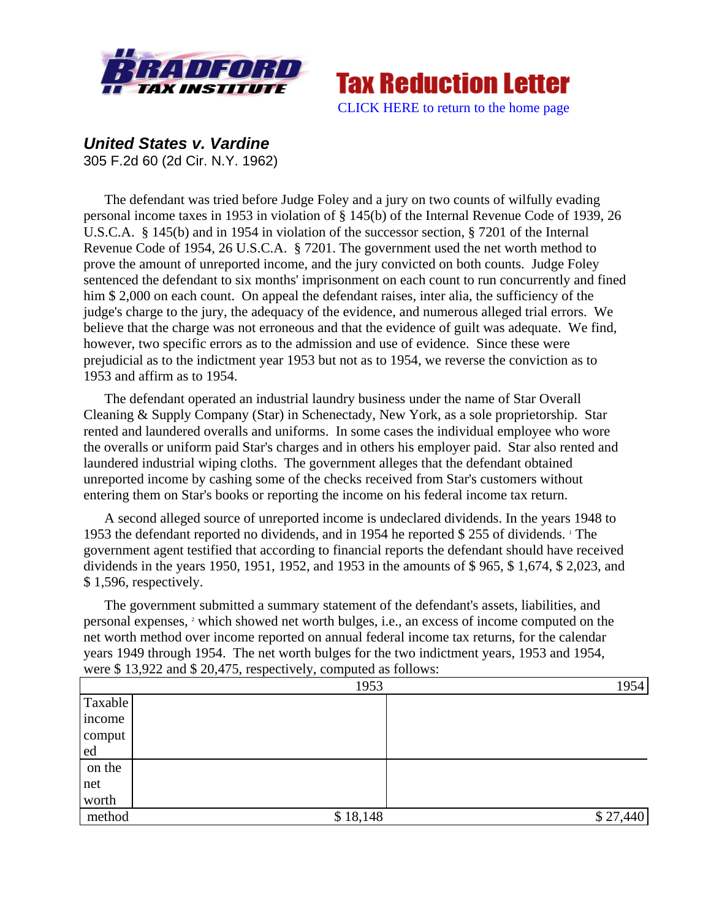



*United States v. Vardine* 305 F.2d 60 (2d Cir. N.Y. 1962)

The defendant was tried before Judge Foley and a jury on two counts of wilfully evading personal income taxes in 1953 in violation of § 145(b) of the Internal Revenue Code of 1939, 26 U.S.C.A. § 145(b) and in 1954 in violation of the successor section, § 7201 of the Internal Revenue Code of 1954, 26 U.S.C.A. § 7201. The government used the net worth method to prove the amount of unreported income, and the jury convicted on both counts. Judge Foley sentenced the defendant to six months' imprisonment on each count to run concurrently and fined him \$ 2,000 on each count. On appeal the defendant raises, inter alia, the sufficiency of the judge's charge to the jury, the adequacy of the evidence, and numerous alleged trial errors. We believe that the charge was not erroneous and that the evidence of guilt was adequate. We find, however, two specific errors as to the admission and use of evidence. Since these were prejudicial as to the indictment year 1953 but not as to 1954, we reverse the conviction as to 1953 and affirm as to 1954.

The defendant operated an industrial laundry business under the name of Star Overall Cleaning & Supply Company (Star) in Schenectady, New York, as a sole proprietorship. Star rented and laundered overalls and uniforms. In some cases the individual employee who wore the overalls or uniform paid Star's charges and in others his employer paid. Star also rented and laundered industrial wiping cloths. The government alleges that the defendant obtained unreported income by cashing some of the checks received from Star's customers without entering them on Star's books or reporting the income on his federal income tax return.

A second alleged source of unreported income is undeclared dividends. In the years 1948 to 1953 the defendant reported no dividends, and in 1954 he reported \$ 255 of dividends. The government agent testified that according to financial reports the defendant should have received dividends in the years 1950, 1951, 1952, and 1953 in the amounts of \$ 965, \$ 1,674, \$ 2,023, and \$ 1,596, respectively.

The government submitted a summary statement of the defendant's assets, liabilities, and personal expenses, <sup>2</sup> which showed net worth bulges, i.e., an excess of income computed on the net worth method over income reported on annual federal income tax returns, for the calendar years 1949 through 1954. The net worth bulges for the two indictment years, 1953 and 1954, were \$ 13,922 and \$ 20,475, respectively, computed as follows:

|         | 1953     | 1954     |
|---------|----------|----------|
| Taxable |          |          |
| income  |          |          |
| comput  |          |          |
| ed      |          |          |
| on the  |          |          |
| net     |          |          |
| worth   |          |          |
| method  | \$18,148 | \$27,440 |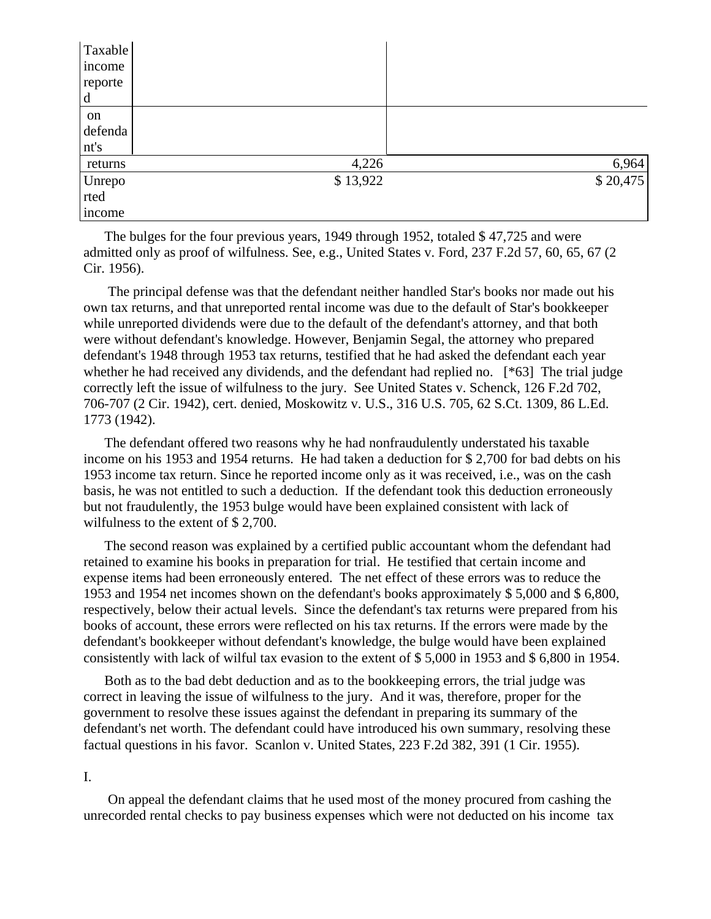| Taxable |          |          |
|---------|----------|----------|
| income  |          |          |
| reporte |          |          |
| d       |          |          |
| on      |          |          |
| defenda |          |          |
| nt's    |          |          |
| returns | 4,226    | 6,964    |
| Unrepo  | \$13,922 | \$20,475 |
| rted    |          |          |
| income  |          |          |

The bulges for the four previous years, 1949 through 1952, totaled \$47,725 and were admitted only as proof of wilfulness. See, e.g., United States v. Ford, 237 F.2d 57, 60, 65, 67 (2 Cir. 1956).

 The principal defense was that the defendant neither handled Star's books nor made out his own tax returns, and that unreported rental income was due to the default of Star's bookkeeper while unreported dividends were due to the default of the defendant's attorney, and that both were without defendant's knowledge. However, Benjamin Segal, the attorney who prepared defendant's 1948 through 1953 tax returns, testified that he had asked the defendant each year whether he had received any dividends, and the defendant had replied no. [\*63] The trial judge correctly left the issue of wilfulness to the jury. See United States v. Schenck, 126 F.2d 702, 706-707 (2 Cir. 1942), cert. denied, Moskowitz v. U.S., 316 U.S. 705, 62 S.Ct. 1309, 86 L.Ed. 1773 (1942).

The defendant offered two reasons why he had nonfraudulently understated his taxable income on his 1953 and 1954 returns. He had taken a deduction for \$ 2,700 for bad debts on his 1953 income tax return. Since he reported income only as it was received, i.e., was on the cash basis, he was not entitled to such a deduction. If the defendant took this deduction erroneously but not fraudulently, the 1953 bulge would have been explained consistent with lack of wilfulness to the extent of \$ 2,700.

The second reason was explained by a certified public accountant whom the defendant had retained to examine his books in preparation for trial. He testified that certain income and expense items had been erroneously entered. The net effect of these errors was to reduce the 1953 and 1954 net incomes shown on the defendant's books approximately \$ 5,000 and \$ 6,800, respectively, below their actual levels. Since the defendant's tax returns were prepared from his books of account, these errors were reflected on his tax returns. If the errors were made by the defendant's bookkeeper without defendant's knowledge, the bulge would have been explained consistently with lack of wilful tax evasion to the extent of \$ 5,000 in 1953 and \$ 6,800 in 1954.

Both as to the bad debt deduction and as to the bookkeeping errors, the trial judge was correct in leaving the issue of wilfulness to the jury. And it was, therefore, proper for the government to resolve these issues against the defendant in preparing its summary of the defendant's net worth. The defendant could have introduced his own summary, resolving these factual questions in his favor. Scanlon v. United States, 223 F.2d 382, 391 (1 Cir. 1955).

I.

 On appeal the defendant claims that he used most of the money procured from cashing the unrecorded rental checks to pay business expenses which were not deducted on his income tax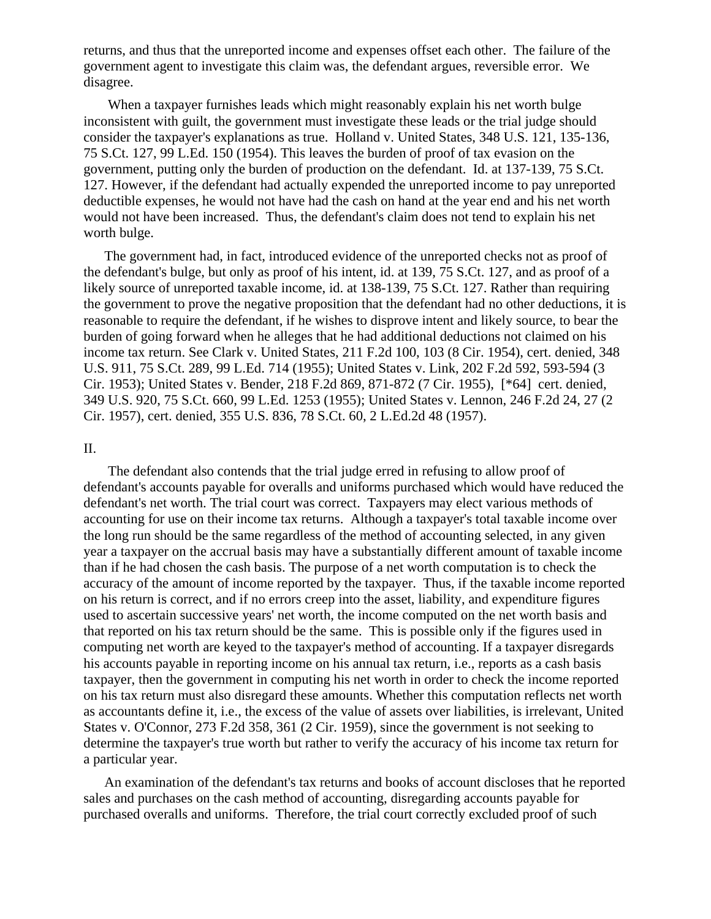returns, and thus that the unreported income and expenses offset each other. The failure of the government agent to investigate this claim was, the defendant argues, reversible error. We disagree.

 When a taxpayer furnishes leads which might reasonably explain his net worth bulge inconsistent with guilt, the government must investigate these leads or the trial judge should consider the taxpayer's explanations as true. Holland v. United States, 348 U.S. 121, 135-136, 75 S.Ct. 127, 99 L.Ed. 150 (1954). This leaves the burden of proof of tax evasion on the government, putting only the burden of production on the defendant. Id. at 137-139, 75 S.Ct. 127. However, if the defendant had actually expended the unreported income to pay unreported deductible expenses, he would not have had the cash on hand at the year end and his net worth would not have been increased. Thus, the defendant's claim does not tend to explain his net worth bulge.

The government had, in fact, introduced evidence of the unreported checks not as proof of the defendant's bulge, but only as proof of his intent, id. at 139, 75 S.Ct. 127, and as proof of a likely source of unreported taxable income, id. at 138-139, 75 S.Ct. 127. Rather than requiring the government to prove the negative proposition that the defendant had no other deductions, it is reasonable to require the defendant, if he wishes to disprove intent and likely source, to bear the burden of going forward when he alleges that he had additional deductions not claimed on his income tax return. See Clark v. United States, 211 F.2d 100, 103 (8 Cir. 1954), cert. denied, 348 U.S. 911, 75 S.Ct. 289, 99 L.Ed. 714 (1955); United States v. Link, 202 F.2d 592, 593-594 (3 Cir. 1953); United States v. Bender, 218 F.2d 869, 871-872 (7 Cir. 1955), [\*64] cert. denied, 349 U.S. 920, 75 S.Ct. 660, 99 L.Ed. 1253 (1955); United States v. Lennon, 246 F.2d 24, 27 (2 Cir. 1957), cert. denied, 355 U.S. 836, 78 S.Ct. 60, 2 L.Ed.2d 48 (1957).

## II.

 The defendant also contends that the trial judge erred in refusing to allow proof of defendant's accounts payable for overalls and uniforms purchased which would have reduced the defendant's net worth. The trial court was correct. Taxpayers may elect various methods of accounting for use on their income tax returns. Although a taxpayer's total taxable income over the long run should be the same regardless of the method of accounting selected, in any given year a taxpayer on the accrual basis may have a substantially different amount of taxable income than if he had chosen the cash basis. The purpose of a net worth computation is to check the accuracy of the amount of income reported by the taxpayer. Thus, if the taxable income reported on his return is correct, and if no errors creep into the asset, liability, and expenditure figures used to ascertain successive years' net worth, the income computed on the net worth basis and that reported on his tax return should be the same. This is possible only if the figures used in computing net worth are keyed to the taxpayer's method of accounting. If a taxpayer disregards his accounts payable in reporting income on his annual tax return, i.e., reports as a cash basis taxpayer, then the government in computing his net worth in order to check the income reported on his tax return must also disregard these amounts. Whether this computation reflects net worth as accountants define it, i.e., the excess of the value of assets over liabilities, is irrelevant, United States v. O'Connor, 273 F.2d 358, 361 (2 Cir. 1959), since the government is not seeking to determine the taxpayer's true worth but rather to verify the accuracy of his income tax return for a particular year.

An examination of the defendant's tax returns and books of account discloses that he reported sales and purchases on the cash method of accounting, disregarding accounts payable for purchased overalls and uniforms. Therefore, the trial court correctly excluded proof of such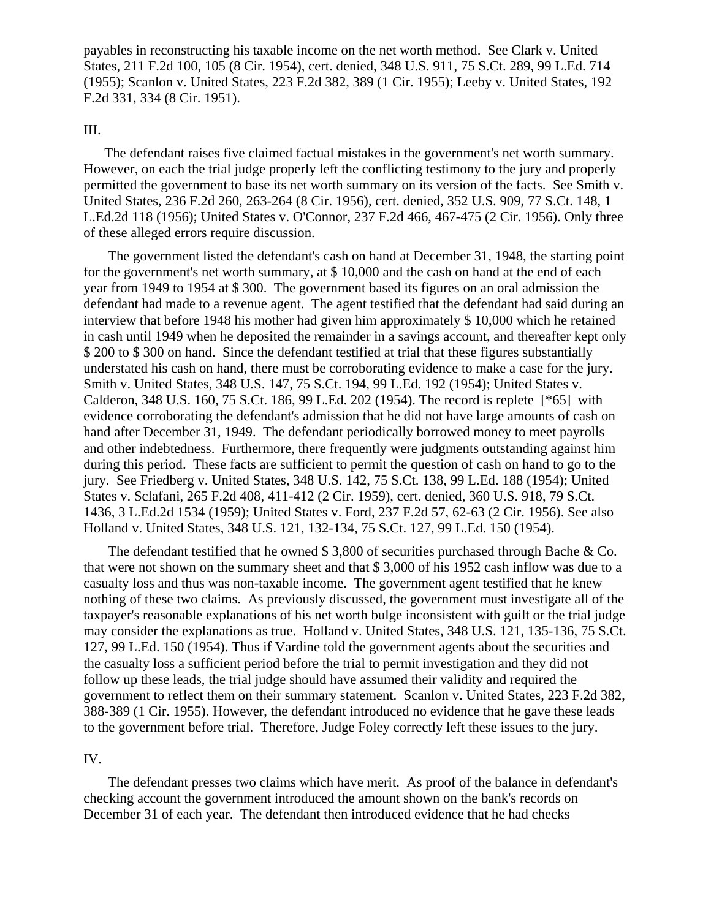payables in reconstructing his taxable income on the net worth method. See Clark v. United States, 211 F.2d 100, 105 (8 Cir. 1954), cert. denied, 348 U.S. 911, 75 S.Ct. 289, 99 L.Ed. 714 (1955); Scanlon v. United States, 223 F.2d 382, 389 (1 Cir. 1955); Leeby v. United States, 192 F.2d 331, 334 (8 Cir. 1951).

## III.

The defendant raises five claimed factual mistakes in the government's net worth summary. However, on each the trial judge properly left the conflicting testimony to the jury and properly permitted the government to base its net worth summary on its version of the facts. See Smith v. United States, 236 F.2d 260, 263-264 (8 Cir. 1956), cert. denied, 352 U.S. 909, 77 S.Ct. 148, 1 L.Ed.2d 118 (1956); United States v. O'Connor, 237 F.2d 466, 467-475 (2 Cir. 1956). Only three of these alleged errors require discussion.

 The government listed the defendant's cash on hand at December 31, 1948, the starting point for the government's net worth summary, at \$ 10,000 and the cash on hand at the end of each year from 1949 to 1954 at \$ 300. The government based its figures on an oral admission the defendant had made to a revenue agent. The agent testified that the defendant had said during an interview that before 1948 his mother had given him approximately \$ 10,000 which he retained in cash until 1949 when he deposited the remainder in a savings account, and thereafter kept only \$ 200 to \$ 300 on hand. Since the defendant testified at trial that these figures substantially understated his cash on hand, there must be corroborating evidence to make a case for the jury. Smith v. United States, 348 U.S. 147, 75 S.Ct. 194, 99 L.Ed. 192 (1954); United States v. Calderon, 348 U.S. 160, 75 S.Ct. 186, 99 L.Ed. 202 (1954). The record is replete [\*65] with evidence corroborating the defendant's admission that he did not have large amounts of cash on hand after December 31, 1949. The defendant periodically borrowed money to meet payrolls and other indebtedness. Furthermore, there frequently were judgments outstanding against him during this period. These facts are sufficient to permit the question of cash on hand to go to the jury. See Friedberg v. United States, 348 U.S. 142, 75 S.Ct. 138, 99 L.Ed. 188 (1954); United States v. Sclafani, 265 F.2d 408, 411-412 (2 Cir. 1959), cert. denied, 360 U.S. 918, 79 S.Ct. 1436, 3 L.Ed.2d 1534 (1959); United States v. Ford, 237 F.2d 57, 62-63 (2 Cir. 1956). See also Holland v. United States, 348 U.S. 121, 132-134, 75 S.Ct. 127, 99 L.Ed. 150 (1954).

 The defendant testified that he owned \$ 3,800 of securities purchased through Bache & Co. that were not shown on the summary sheet and that \$ 3,000 of his 1952 cash inflow was due to a casualty loss and thus was non-taxable income. The government agent testified that he knew nothing of these two claims. As previously discussed, the government must investigate all of the taxpayer's reasonable explanations of his net worth bulge inconsistent with guilt or the trial judge may consider the explanations as true. Holland v. United States, 348 U.S. 121, 135-136, 75 S.Ct. 127, 99 L.Ed. 150 (1954). Thus if Vardine told the government agents about the securities and the casualty loss a sufficient period before the trial to permit investigation and they did not follow up these leads, the trial judge should have assumed their validity and required the government to reflect them on their summary statement. Scanlon v. United States, 223 F.2d 382, 388-389 (1 Cir. 1955). However, the defendant introduced no evidence that he gave these leads to the government before trial. Therefore, Judge Foley correctly left these issues to the jury.

## IV.

 The defendant presses two claims which have merit. As proof of the balance in defendant's checking account the government introduced the amount shown on the bank's records on December 31 of each year. The defendant then introduced evidence that he had checks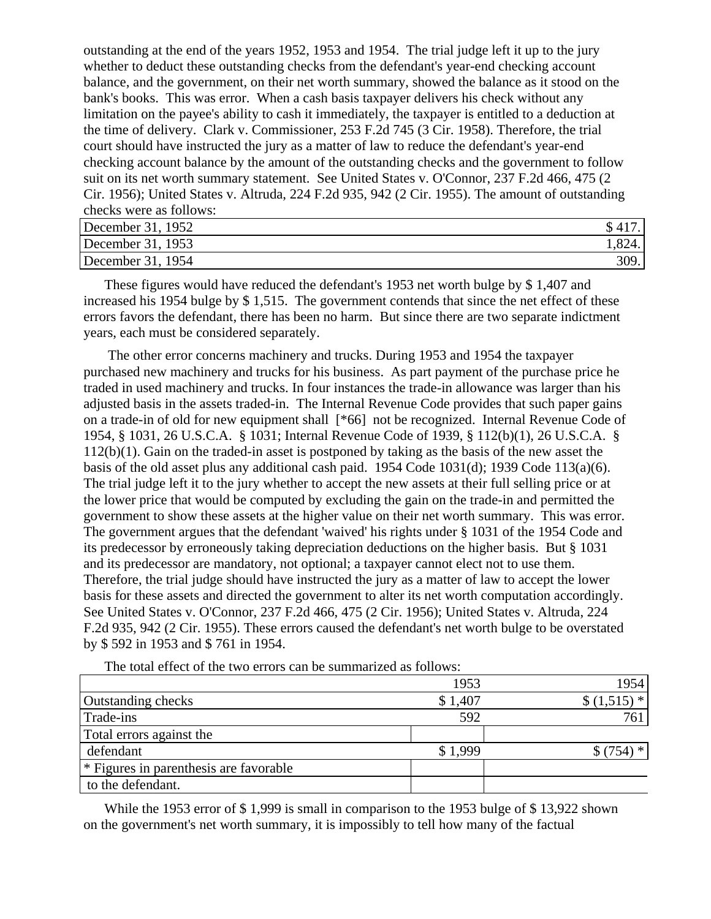outstanding at the end of the years 1952, 1953 and 1954. The trial judge left it up to the jury whether to deduct these outstanding checks from the defendant's year-end checking account balance, and the government, on their net worth summary, showed the balance as it stood on the bank's books. This was error. When a cash basis taxpayer delivers his check without any limitation on the payee's ability to cash it immediately, the taxpayer is entitled to a deduction at the time of delivery. Clark v. Commissioner, 253 F.2d 745 (3 Cir. 1958). Therefore, the trial court should have instructed the jury as a matter of law to reduce the defendant's year-end checking account balance by the amount of the outstanding checks and the government to follow suit on its net worth summary statement. See United States v. O'Connor, 237 F.2d 466, 475 (2 Cir. 1956); United States v. Altruda, 224 F.2d 935, 942 (2 Cir. 1955). The amount of outstanding checks were as follows:

| December 31, 1952 |        |
|-------------------|--------|
| December 31, 1953 | 1,824. |
| December 31, 1954 | 309.1  |

These figures would have reduced the defendant's 1953 net worth bulge by \$ 1,407 and increased his 1954 bulge by \$ 1,515. The government contends that since the net effect of these errors favors the defendant, there has been no harm. But since there are two separate indictment years, each must be considered separately.

 The other error concerns machinery and trucks. During 1953 and 1954 the taxpayer purchased new machinery and trucks for his business. As part payment of the purchase price he traded in used machinery and trucks. In four instances the trade-in allowance was larger than his adjusted basis in the assets traded-in. The Internal Revenue Code provides that such paper gains on a trade-in of old for new equipment shall [\*66] not be recognized. Internal Revenue Code of 1954, § 1031, 26 U.S.C.A. § 1031; Internal Revenue Code of 1939, § 112(b)(1), 26 U.S.C.A. § 112(b)(1). Gain on the traded-in asset is postponed by taking as the basis of the new asset the basis of the old asset plus any additional cash paid. 1954 Code 1031(d); 1939 Code 113(a)(6). The trial judge left it to the jury whether to accept the new assets at their full selling price or at the lower price that would be computed by excluding the gain on the trade-in and permitted the government to show these assets at the higher value on their net worth summary. This was error. The government argues that the defendant 'waived' his rights under § 1031 of the 1954 Code and its predecessor by erroneously taking depreciation deductions on the higher basis. But § 1031 and its predecessor are mandatory, not optional; a taxpayer cannot elect not to use them. Therefore, the trial judge should have instructed the jury as a matter of law to accept the lower basis for these assets and directed the government to alter its net worth computation accordingly. See United States v. O'Connor, 237 F.2d 466, 475 (2 Cir. 1956); United States v. Altruda, 224 F.2d 935, 942 (2 Cir. 1955). These errors caused the defendant's net worth bulge to be overstated by \$ 592 in 1953 and \$ 761 in 1954.

|                                                   | 1953    | 1954        |
|---------------------------------------------------|---------|-------------|
| <b>Outstanding checks</b>                         | \$1,407 | $$(1,515)*$ |
| Trade-ins                                         | 592     | 761         |
| Total errors against the                          |         |             |
| defendant                                         | \$1.999 | . *         |
| <sup>*</sup> Figures in parenthesis are favorable |         |             |
| to the defendant.                                 |         |             |

The total effect of the two errors can be summarized as follows:

While the 1953 error of \$1,999 is small in comparison to the 1953 bulge of \$13,922 shown on the government's net worth summary, it is impossibly to tell how many of the factual